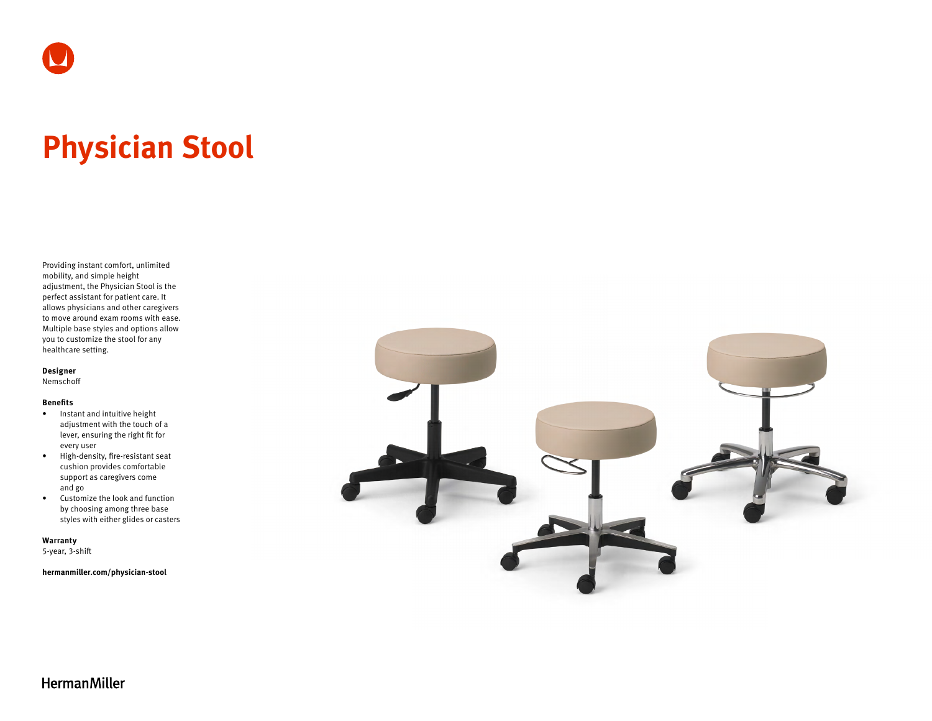# **Physician Stool**

Providing instant comfort, unlimited mobility, and simple height adjustment, the Physician Stool is the perfect assistant for patient care. It allows physicians and other caregivers to move around exam rooms with ease. Multiple base styles and options allow you to customize the stool for any healthcare setting.

**Designer**

Nemschoff

#### **Benefits**

- Instant and intuitive height adjustment with the touch of a lever, ensuring the right fit for every user
- High-density, fire-resistant seat cushion provides comfortable support as caregivers come and go
- Customize the look and function by choosing among three base styles with either glides or casters

**Warranty** 

5-year, 3-shift

**[hermanmiller.com/physician-stool](http://hermanmiller.com/physician-stool)**